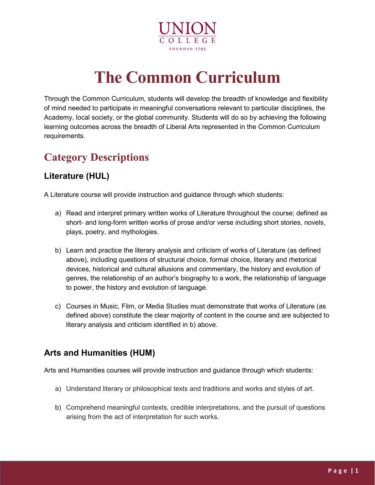

# **The Common Curriculum**

Through the Common Curriculum, students will develop the breadth of knowledge and flexibility of mind needed to participate in meaningful conversations relevant to particular disciplines, the Academy, local society, or the global community. Students will do so by achieving the following learning outcomes across the breadth of Liberal Arts represented in the Common Curriculum requirements.

## **Category Descriptions**

#### **Literature (HUL)**

A Literature course will provide instruction and guidance through which students:

- a) Read and interpret primary written works of Literature throughout the course; defined as short- and long-form written works of prose and/or verse including short stories, novels, plays, poetry, and mythologies.
- b) Learn and practice the literary analysis and criticism of works of Literature (as defined above), including questions of structural choice, formal choice, literary and rhetorical devices, historical and cultural allusions and commentary, the history and evolution of genres, the relationship of an author's biography to a work, the relationship of language to power, the history and evolution of language.
- c) Courses in Music, Film, or Media Studies must demonstrate that works of Literature (as defined above) constitute the clear majority of content in the course and are subjected to literary analysis and criticism identified in b) above.

#### **Arts and Humanities (HUM)**

Arts and Humanities courses will provide instruction and guidance through which students:

- a) Understand literary or philosophical texts and traditions and works and styles of art.
- b) Comprehend meaningful contexts, credible interpretations, and the pursuit of questions arising from the act of interpretation for such works.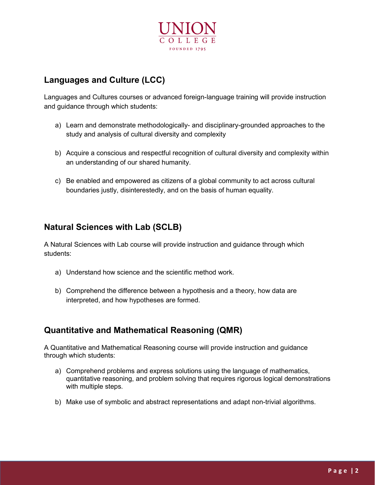

#### **Languages and Culture (LCC)**

Languages and Cultures courses or advanced foreign-language training will provide instruction and guidance through which students:

- a) Learn and demonstrate methodologically- and disciplinary-grounded approaches to the study and analysis of cultural diversity and complexity
- b) Acquire a conscious and respectful recognition of cultural diversity and complexity within an understanding of our shared humanity.
- c) Be enabled and empowered as citizens of a global community to act across cultural boundaries justly, disinterestedly, and on the basis of human equality.

#### **Natural Sciences with Lab (SCLB)**

A Natural Sciences with Lab course will provide instruction and guidance through which students:

- a) Understand how science and the scientific method work.
- b) Comprehend the difference between a hypothesis and a theory, how data are interpreted, and how hypotheses are formed.

#### **Quantitative and Mathematical Reasoning (QMR)**

A Quantitative and Mathematical Reasoning course will provide instruction and guidance through which students:

- a) Comprehend problems and express solutions using the language of mathematics, quantitative reasoning, and problem solving that requires rigorous logical demonstrations with multiple steps.
- b) Make use of symbolic and abstract representations and adapt non-trivial algorithms.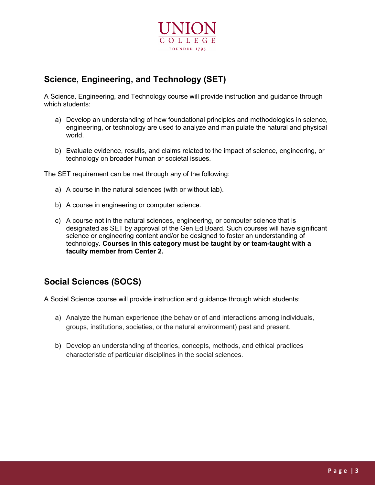

#### **Science, Engineering, and Technology (SET)**

A Science, Engineering, and Technology course will provide instruction and guidance through which students:

- a) Develop an understanding of how foundational principles and methodologies in science, engineering, or technology are used to analyze and manipulate the natural and physical world.
- b) Evaluate evidence, results, and claims related to the impact of science, engineering, or technology on broader human or societal issues.

The SET requirement can be met through any of the following:

- a) A course in the natural sciences (with or without lab).
- b) A course in engineering or computer science.
- c) A course not in the natural sciences, engineering, or computer science that is designated as SET by approval of the Gen Ed Board. Such courses will have significant science or engineering content and/or be designed to foster an understanding of technology. **Courses in this category must be taught by or team-taught with a faculty member from Center 2.**

#### **Social Sciences (SOCS)**

A Social Science course will provide instruction and guidance through which students:

- a) Analyze the human experience (the behavior of and interactions among individuals, groups, institutions, societies, or the natural environment) past and present.
- b) Develop an understanding of theories, concepts, methods, and ethical practices characteristic of particular disciplines in the social sciences.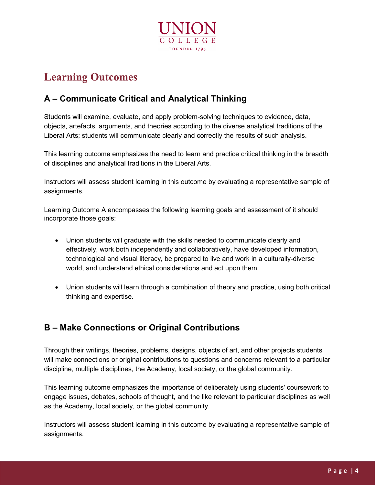

## **Learning Outcomes**

### **A – Communicate Critical and Analytical Thinking**

Students will examine, evaluate, and apply problem-solving techniques to evidence, data, objects, artefacts, arguments, and theories according to the diverse analytical traditions of the Liberal Arts; students will communicate clearly and correctly the results of such analysis.

This learning outcome emphasizes the need to learn and practice critical thinking in the breadth of disciplines and analytical traditions in the Liberal Arts.

Instructors will assess student learning in this outcome by evaluating a representative sample of assignments.

Learning Outcome A encompasses the following learning goals and assessment of it should incorporate those goals:

- Union students will graduate with the skills needed to communicate clearly and effectively, work both independently and collaboratively, have developed information, technological and visual literacy, be prepared to live and work in a culturally-diverse world, and understand ethical considerations and act upon them.
- Union students will learn through a combination of theory and practice, using both critical thinking and expertise.

#### **B – Make Connections or Original Contributions**

Through their writings, theories, problems, designs, objects of art, and other projects students will make connections or original contributions to questions and concerns relevant to a particular discipline, multiple disciplines, the Academy, local society, or the global community.

This learning outcome emphasizes the importance of deliberately using students' coursework to engage issues, debates, schools of thought, and the like relevant to particular disciplines as well as the Academy, local society, or the global community.

Instructors will assess student learning in this outcome by evaluating a representative sample of assignments.